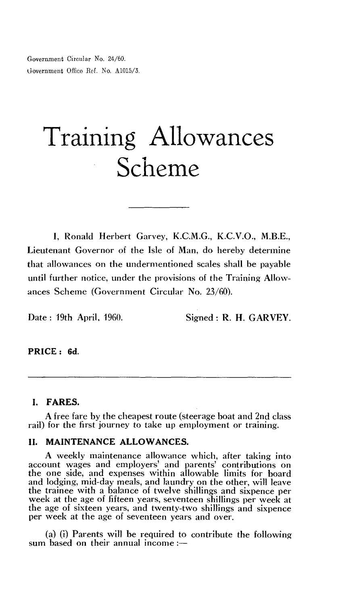Government Circular No. 24/60. Government Office Ref. No. A1015/3.

# Training Allowances Scheme

**I,** Ronald Herbert Garvey, K.C.M.G., K.C.V.O., M.B.E., Lieutenant Governor of the Isle of Man, do hereby determine that allowances on the undermentioned scales shall be payable until further notice, under the provisions of the Training Allowances Scheme (Government Circular No. 23/60).

Date : 19th April, 1960. Signed : **R. H. GARVEY.** 

## **PRICE : 6d.**

## **I. FARES.**

A free fare by the cheapest route (steerage boat and 2nd class rail) for the first journey to take up employment or training.

# **II. MAINTENANCE ALLOWANCES.**

A weekly maintenance allowance which, after taking into account wages and employers' and parents' contributions on the one side, and expenses within allowable limits for board and lodging, mid-day meals, and laundry on the other, will leave the trainee with a balance of twelve shillings and sixpence per week at the age of fifteen years, seventeen shillings per week at the age of sixteen years, and twenty-two shillings and sixpence per week at the age of seventeen years and over.

(a) (i) Parents will be required to contribute the following sum based on their annual income :—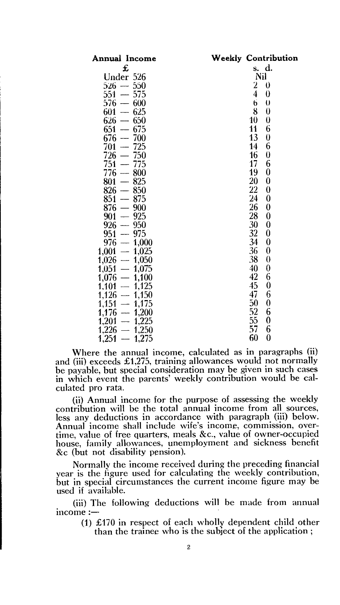| Annual Income                                  | <b>Weekly Contribution</b>          |
|------------------------------------------------|-------------------------------------|
| £                                              | s. d.                               |
| Under 526                                      | Nil                                 |
| $526 - 550$                                    | 2 <sub>1</sub><br>$\theta$          |
| $551 - 575$                                    | $\overline{4}$<br>$\theta$          |
| $576 - 600$                                    | 6<br>$\theta$                       |
| $601 - 625$                                    | 8<br>$\bf{0}$                       |
| $626 - 650$                                    | 10 <sup>1</sup><br>$\boldsymbol{0}$ |
| $651 - 675$                                    | 6<br>11                             |
| $676 - 700$                                    | 13 <sup>2</sup><br>$\boldsymbol{0}$ |
| $701 - 725$                                    | 6<br>14                             |
| $726 - 750$                                    | $\boldsymbol{0}$<br>16              |
| $751 - 775$                                    | 6<br>17                             |
| $776 - 800$                                    | $\bf{0}$<br>19                      |
| $801 - 825$                                    | 20<br>0                             |
| $826 - 850$                                    | $22^{\circ}$<br>0                   |
| $851 - 875$                                    | 24<br>$\bf{0}$                      |
| $876 - 900$                                    | 26<br>$\boldsymbol{0}$              |
| $901 - 925$                                    | 28<br>$\bf{0}$                      |
| $926 - 950$                                    | 30<br>0                             |
| $951 - 975$                                    | 32 <sub>2</sub><br>$\bf{0}$         |
| $976 - 1,000$                                  | 34<br>0                             |
| $1,001 - 1,025$                                | 36<br>$\boldsymbol{0}$              |
| $1,026 - 1,050$                                | 38<br>$\boldsymbol{0}$              |
| $1,051 - 1,075$                                | 40 <sup>°</sup><br>$\pmb{0}$        |
| $1,076 - 1,100$                                | 42<br>6                             |
| $1,101 - 1,125$                                | 45<br>$\bf{0}$                      |
| $1,126 - 1,150$                                | 47<br>6                             |
| $1,151 - 1,175$                                | 50 <sub>1</sub><br>$\pmb{0}$        |
| $\frac{1,176}{1,201}$ - 1,200<br>1,201 - 1,225 | 52<br>6                             |
|                                                | 55<br>0                             |
| $1,226 -$<br>1,250                             | 57<br>6                             |
| 1,251<br>$\frac{1}{1}$<br>1,275                | 60<br>0                             |

Where the annual income, calculated as in paragraphs (ii) and (iii) exceeds £1,275, training allowances would not normally be payable, but special consideration may be given in such cases in which event the parents' weekly contribution would be calculated pro rata.

(ii) Annual income for the purpose of assessing the weekly contribution will be the total annual income from all sources, less any deductions in accordance with paragraph (iii) below. Annual income shall include wife's income, commission, overtime, value of free quarters, meals &c., value of owner-occupied house, family allowances, unemployment and sickness benefit &c (but not disability pension).

Normally the income received during the preceding financial year is the figure used for calculating the weekly contribution, but in special circumstances the current income figure may be used if available.

(iii) The following deductions will be made from annual  $income -$ 

(1) £170 in respect of each wholly dependent child other than the trainee who is the subject of the application ;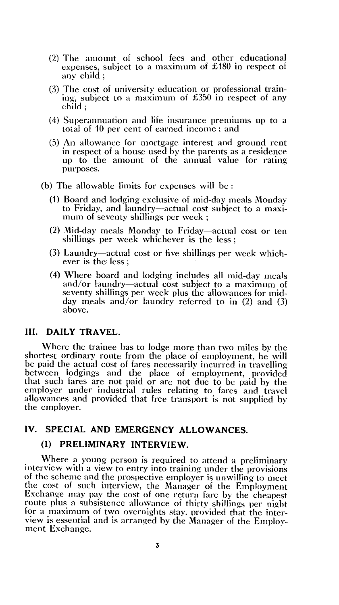- (2) The amount of school fees and other educational expenses, subject to a maximum of £180 in respect of any child ;
- (3) The cost of university education or professional training, subject to a maximum of £350 in respect of any child ;
- (4) Superannuation and life insurance premiums up to a total of 10 per cent of earned income ; and
- (5) An allowance for mortgage interest and ground rent in respect of a house used by the parents as a residence up to the amount of the annual value for rating purposes.
- (b) The allowable limits for expenses will be :
	- (1) Board and lodging exclusive of mid-day meals Monday to Friday, and laundry—actual cost subject to a maximum of seventy shillings per week ;
	- (2) Mid-day meals Monday to Friday—actual cost or ten shillings per week whichever is the less ;
	- (3) Laundry—actual cost or five shillings per week whichever is the less ;
	- (4) Where board and lodging includes all mid-day meals and/or laundry—actual cost subject to a maximum of seventy shillings per week plus the allowances for midday meals and/or laundry referred to in (2) and (3) above.

# **III. DAILY TRAVEL.**

Where the trainee has to lodge more than two miles by the shortest ordinary route from the place of employment, he will be paid the actual cost of fares necessarily incurred in travelling between lodgings and the place of employment, provided that such fares are not paid or are not due to be paid by the employer under industrial rules relating to fares and travel allowances and provided that free transport is not supplied by the employer.

## **IV. SPECIAL AND EMERGENCY ALLOWANCES.**

# **(1) PRELIMINARY INTERVIEW.**

Where a young person is required to attend a preliminary interview with a view to entry into training under the provisions of the scheme and the prospective employer is unwilling to meet the cost of such interview, the Manager of the Employment Exchange may pay the cost of one return fare by the cheapest route plus a subsistence allowance of thirty shillings per night for a maximum of two overnights stay. provided that the interview is essential and is arranged by the Manager of the Employment Exchange.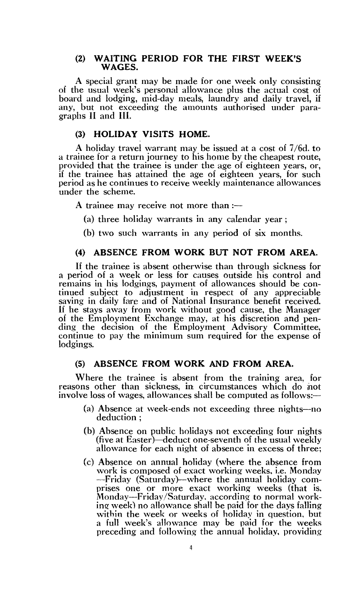#### **(2) WAITING PERIOD FOR THE FIRST WEEK'S WAGES.**

A special grant may be made for one week only consisting of the usual week's personal allowance plus the actual cost of board and lodging, mid-day meals, laundry and daily travel, if any, but not exceeding the amounts authorised under paragraphs **II** and **III.** 

## **(3) HOLIDAY VISITS HOME.**

A holiday travel warrant may be issued at a cost of 7/6d. to a trainee for a return journey to his home by the cheapest route, provided that the trainee is under the age of eighteen years, or, if the trainee has attained the age of eighteen years, for such period as he continues to receive weekly maintenance allowances under the scheme.

A trainee may receive not more than  $:$ 

- (a) three holiday warrants in any calendar year ;
- (b) two such warrants in any period of six months.

# **(4) ABSENCE FROM WORK BUT NOT FROM AREA.**

If the trainee is absent otherwise than through sickness for a period of a week or less for causes outside his control and remains in his lodgings, payment of allowances should be continued subject to adjustment in respect of any appreciable saving in daily fare and of National Insurance benefit received. If he stays away from work without good cause, the Manager of the Employment Exchange may, at his discretion and pending the decision of the Employment Advisory Committee, continue to pay the minimum sum required for the expense of lodgings.

# **(5) ABSENCE FROM WORK AND FROM AREA.**

Where the trainee is absent from the training area, for reasons other than sickness, in circumstances which do not involve loss of wages, allowances shall be computed as follows:—

- (a) Absence at week-ends not exceeding three nights—no deduction ;
- (b) Absence on public holidays not exceeding four nights (five at Easter)—deduct one-seventh of the usual weekly allowance for each night of absence in excess of three;
- (c) Absence on annual holiday (where the absence from work is composed of exact working weeks, i.e. Monday —Friday (Saturday)—where the annual holiday comprises one or more exact working weeks (that is, Monday—Friday/Saturday, according to normal working week) no allowance shall he paid for the days falling within the week or weeks of holiday in question, but a full week's allowance may be paid for the weeks preceding and following the annual holiday, providing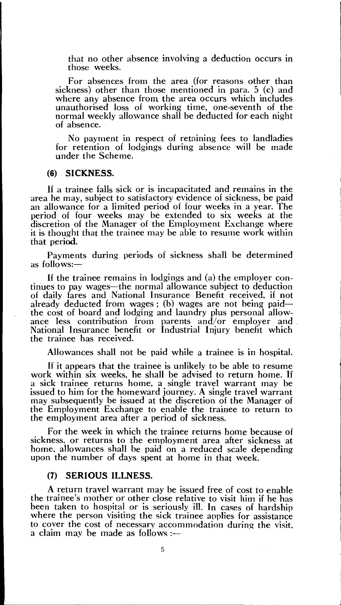that no other absence involving a deduction occurs in those weeks.

For absences from the area (for reasons other than sickness) other than those mentioned in para. 5 (c) and where any absence from the area occurs which includes unauthorised loss of working time, one-seventh of the normal weekly allowance shall be deducted for each night of absence.

No payment in respect of retaining fees to landladies for retention of lodgings during absence will be made under the Scheme.

#### (6) SICKNESS.

H a trainee falls sick or is incapacitated and remains in the area he may, subject to satisfactory evidence of sickness, be paid an allowance for a limited period of four weeks in a year. The period of four weeks may be extended to six weeks at the discretion of the Manager of the Employment Exchange where it is thought that the trainee may be able to resume work within that period.

Payments during periods of sickness shall be determined as follows:—

If the trainee remains in lodgings and (a) the employer continues to pay wages—the normal allowance subject to deduction of daily fares and National Insurance Benefit received, if not already deducted from wages ; (b) wages are not being paid the cost of board and lodging and laundry plus personal allowance less contribution from parents and/or employer and National Insurance benefit or Industrial Injury benefit which the trainee has received.

Allowances shall not be paid while a trainee is in hospital.

If it appears that the trainee is unlikely to be able to resume work within six weeks, he shall be advised to return home. If a sick trainee returns home, a single travel warrant may be issued to him for the homeward journey. A single travel warrant may subsequently be issued at the discretion of the Manager of the Employment Exchange to enable the trainee to return to the employment area after a period of sickness.

For the week in which the trainee returns home because of sickness, or returns to the employment area after sickness at home, allowances shall be paid on a reduced scale depending upon the number of days spent at home in that week.

#### (7) SERIOUS ILLNESS.

A return travel warrant may be issued free of cost to enable the trainee's mother or other close relative to visit him if he has been taken to hospital or is seriously ill. In cases of hardship where the person visiting the sick trainee applies for assistance to cover the cost of necessary accommodation during the visit, a claim may be made as follows :—